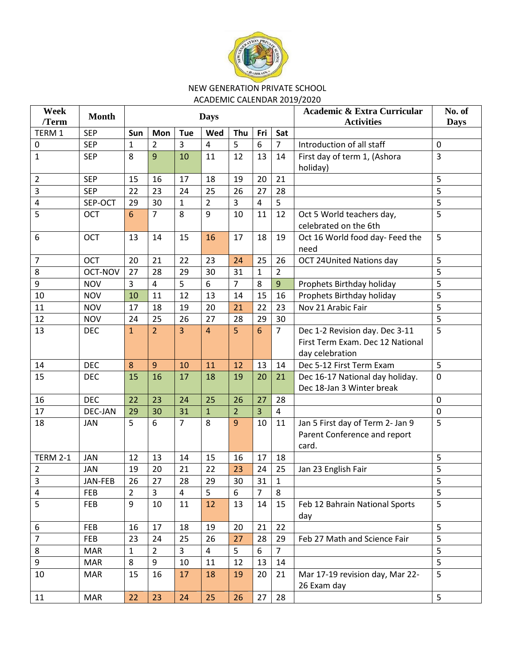

## NEW GENERATION PRIVATE SCHOOL ACADEMIC CALENDAR 2019/2020

| Week            | <b>Month</b> |                |                |                |                |                |                |                | <b>Academic &amp; Extra Curricular</b> | No. of         |
|-----------------|--------------|----------------|----------------|----------------|----------------|----------------|----------------|----------------|----------------------------------------|----------------|
| /Term           |              |                | <b>Days</b>    |                |                |                |                |                | <b>Activities</b>                      | <b>Days</b>    |
| TERM 1          | <b>SEP</b>   | Sun            | Mon            | Tue            | Wed            | Thu            | Fri            | Sat            |                                        |                |
| 0               | <b>SEP</b>   | $\mathbf{1}$   | $\overline{2}$ | $\overline{3}$ | 4              | 5              | 6              | $\overline{7}$ | Introduction of all staff              | $\mathbf 0$    |
| $\mathbf{1}$    | <b>SEP</b>   | 8              | 9              | 10             | 11             | 12             | 13             | 14             | First day of term 1, (Ashora           | 3              |
|                 |              |                |                |                |                |                |                |                | holiday)                               |                |
| $\overline{2}$  | <b>SEP</b>   | 15             | 16             | 17             | 18             | 19             | 20             | 21             |                                        | 5              |
| 3               | <b>SEP</b>   | 22             | 23             | 24             | 25             | 26             | 27             | 28             |                                        | 5              |
| 4               | SEP-OCT      | 29             | 30             | $\mathbf{1}$   | $\overline{2}$ | 3              | $\overline{4}$ | 5              |                                        | 5              |
| 5               | OCT          | 6              | $\overline{7}$ | 8              | 9              | 10             | 11             | 12             | Oct 5 World teachers day,              | $\overline{5}$ |
|                 |              |                |                |                |                |                |                |                | celebrated on the 6th                  |                |
| 6               | <b>OCT</b>   | 13             | 14             | 15             | 16             | 17             | 18             | 19             | Oct 16 World food day- Feed the        | 5              |
|                 |              |                |                |                |                |                |                |                | need                                   |                |
| $\overline{7}$  | <b>OCT</b>   | 20             | 21             | 22             | 23             | 24             | 25             | 26             | <b>OCT 24United Nations day</b>        | 5              |
| 8               | OCT-NOV      | 27             | 28             | 29             | 30             | 31             | $\mathbf{1}$   | $\overline{2}$ |                                        | 5              |
| 9               | <b>NOV</b>   | 3              | 4              | 5              | 6              | $\overline{7}$ | 8              | 9              | Prophets Birthday holiday              | 5              |
| 10              | <b>NOV</b>   | 10             | 11             | 12             | 13             | 14             | 15             | 16             | Prophets Birthday holiday              | 5              |
| 11              | <b>NOV</b>   | 17             | 18             | 19             | 20             | 21             | 22             | 23             | Nov 21 Arabic Fair                     | 5              |
| 12              | <b>NOV</b>   | 24             | 25             | 26             | 27             | 28             | 29             | 30             |                                        | 5              |
| 13              | <b>DEC</b>   | $\mathbf{1}$   | $\overline{2}$ | $\overline{3}$ | $\overline{4}$ | 5              | 6              | $\overline{7}$ | Dec 1-2 Revision day. Dec 3-11         | 5              |
|                 |              |                |                |                |                |                |                |                | First Term Exam. Dec 12 National       |                |
|                 |              |                |                |                |                |                |                |                | day celebration                        |                |
| 14              | <b>DEC</b>   | 8              | $\overline{9}$ | 10             | 11             | 12             | 13             | 14             | Dec 5-12 First Term Exam               | 5              |
| 15              | <b>DEC</b>   | 15             | 16             | 17             | 18             | 19             | 20             | 21             | Dec 16-17 National day holiday.        | $\mathbf 0$    |
|                 |              |                |                |                |                |                |                |                | Dec 18-Jan 3 Winter break              |                |
| 16              | <b>DEC</b>   | 22             | 23             | 24             | 25             | 26             | 27             | 28             |                                        | $\mathbf 0$    |
| 17              | DEC-JAN      | 29             | 30             | 31             | $\mathbf{1}$   | $\overline{2}$ | 3              | $\overline{4}$ |                                        | $\mathbf 0$    |
| 18              | <b>JAN</b>   | 5              | 6              | $\overline{7}$ | 8              | 9              | 10             | 11             | Jan 5 First day of Term 2- Jan 9       | 5              |
|                 |              |                |                |                |                |                |                |                | Parent Conference and report           |                |
|                 |              |                |                |                |                |                |                |                | card.                                  |                |
| <b>TERM 2-1</b> | <b>JAN</b>   | 12             | 13             | 14             | 15             | 16             | 17             | 18             |                                        | 5              |
| $\overline{2}$  | JAN          | 19             | 20             | 21             | 22             | 23             | 24             | 25             | Jan 23 English Fair                    | 5              |
| 3               | JAN-FEB      | 26             | 27             | 28             | 29             | $30\,$         | 31             | $\mathbf{1}$   |                                        | 5              |
| $\overline{a}$  | <b>FEB</b>   | $\overline{2}$ | $\overline{3}$ | $\overline{4}$ | 5              | 6              | $\overline{7}$ | 8              |                                        | 5              |
| 5               | <b>FEB</b>   | 9              | 10             | 11             | 12             | 13             | 14             | 15             | Feb 12 Bahrain National Sports         | 5              |
|                 |              |                |                |                |                |                |                |                | day                                    |                |
| 6               | <b>FEB</b>   | 16             | 17             | 18             | 19             | 20             | 21             | 22             |                                        | 5              |
| $\overline{7}$  | <b>FEB</b>   | 23             | 24             | 25             | 26             | 27             | 28             | 29             | Feb 27 Math and Science Fair           | 5              |
| 8               | <b>MAR</b>   | $\mathbf{1}$   | $\overline{2}$ | 3              | 4              | 5              | 6              | $\overline{7}$ |                                        | 5              |
| 9               | <b>MAR</b>   | 8              | 9              | 10             | 11             | 12             | 13             | 14             |                                        | 5              |
| 10              | <b>MAR</b>   | 15             | 16             | 17             | 18             | 19             | 20             | 21             | Mar 17-19 revision day, Mar 22-        | 5              |
|                 |              |                |                |                |                |                |                |                | 26 Exam day                            |                |
| 11              | <b>MAR</b>   | 22             | 23             | 24             | 25             | 26             | 27             | 28             |                                        | 5              |